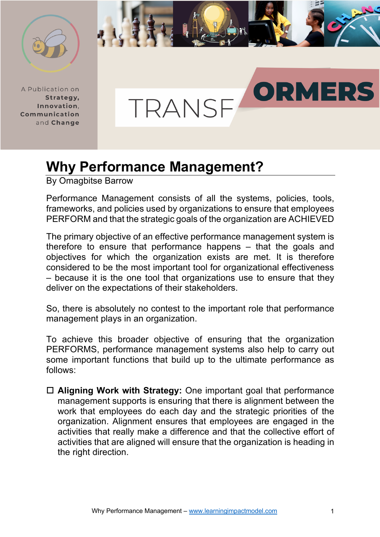

A Publication on Strategy, Innovation. Communication and Change



## **Why Performance Management?**

By Omagbitse Barrow

Performance Management consists of all the systems, policies, tools, frameworks, and policies used by organizations to ensure that employees PERFORM and that the strategic goals of the organization are ACHIEVED

The primary objective of an effective performance management system is therefore to ensure that performance happens – that the goals and objectives for which the organization exists are met. It is therefore considered to be the most important tool for organizational effectiveness – because it is the one tool that organizations use to ensure that they deliver on the expectations of their stakeholders.

So, there is absolutely no contest to the important role that performance management plays in an organization.

To achieve this broader objective of ensuring that the organization PERFORMS, performance management systems also help to carry out some important functions that build up to the ultimate performance as follows:

□ Aligning Work with Strategy: One important goal that performance management supports is ensuring that there is alignment between the work that employees do each day and the strategic priorities of the organization. Alignment ensures that employees are engaged in the activities that really make a difference and that the collective effort of activities that are aligned will ensure that the organization is heading in the right direction.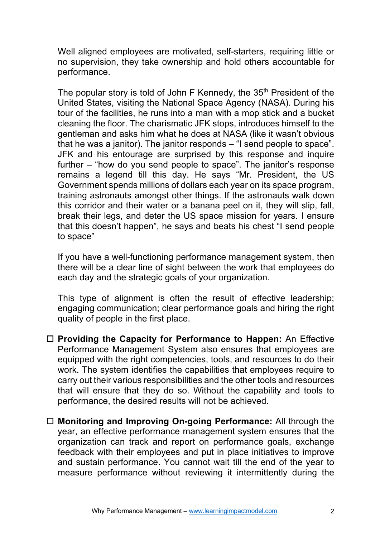Well aligned employees are motivated, self-starters, requiring little or no supervision, they take ownership and hold others accountable for performance.

The popular story is told of John F Kennedy, the 35<sup>th</sup> President of the United States, visiting the National Space Agency (NASA). During his tour of the facilities, he runs into a man with a mop stick and a bucket cleaning the floor. The charismatic JFK stops, introduces himself to the gentleman and asks him what he does at NASA (like it wasn't obvious that he was a janitor). The janitor responds – "I send people to space". JFK and his entourage are surprised by this response and inquire further – "how do you send people to space". The janitor's response remains a legend till this day. He says "Mr. President, the US Government spends millions of dollars each year on its space program, training astronauts amongst other things. If the astronauts walk down this corridor and their water or a banana peel on it, they will slip, fall, break their legs, and deter the US space mission for years. I ensure that this doesn't happen", he says and beats his chest "I send people to space"

If you have a well-functioning performance management system, then there will be a clear line of sight between the work that employees do each day and the strategic goals of your organization.

This type of alignment is often the result of effective leadership; engaging communication; clear performance goals and hiring the right quality of people in the first place.

- □ **Providing the Capacity for Performance to Happen:** An Effective Performance Management System also ensures that employees are equipped with the right competencies, tools, and resources to do their work. The system identifies the capabilities that employees require to carry out their various responsibilities and the other tools and resources that will ensure that they do so. Without the capability and tools to performance, the desired results will not be achieved.
- □ **Monitoring and Improving On-going Performance:** All through the year, an effective performance management system ensures that the organization can track and report on performance goals, exchange feedback with their employees and put in place initiatives to improve and sustain performance. You cannot wait till the end of the year to measure performance without reviewing it intermittently during the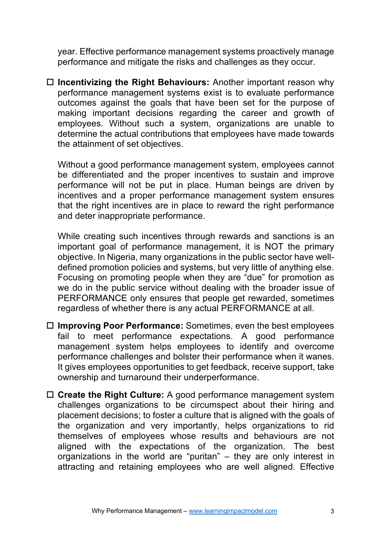year. Effective performance management systems proactively manage performance and mitigate the risks and challenges as they occur.

□ Incentivizing the Right Behaviours: Another important reason why performance management systems exist is to evaluate performance outcomes against the goals that have been set for the purpose of making important decisions regarding the career and growth of employees. Without such a system, organizations are unable to determine the actual contributions that employees have made towards the attainment of set objectives.

Without a good performance management system, employees cannot be differentiated and the proper incentives to sustain and improve performance will not be put in place. Human beings are driven by incentives and a proper performance management system ensures that the right incentives are in place to reward the right performance and deter inappropriate performance.

While creating such incentives through rewards and sanctions is an important goal of performance management, it is NOT the primary objective. In Nigeria, many organizations in the public sector have welldefined promotion policies and systems, but very little of anything else. Focusing on promoting people when they are "due" for promotion as we do in the public service without dealing with the broader issue of PERFORMANCE only ensures that people get rewarded, sometimes regardless of whether there is any actual PERFORMANCE at all.

- □ Improving Poor Performance: Sometimes, even the best employees fail to meet performance expectations. A good performance management system helps employees to identify and overcome performance challenges and bolster their performance when it wanes. It gives employees opportunities to get feedback, receive support, take ownership and turnaround their underperformance.
- □ Create the Right Culture: A good performance management system challenges organizations to be circumspect about their hiring and placement decisions; to foster a culture that is aligned with the goals of the organization and very importantly, helps organizations to rid themselves of employees whose results and behaviours are not aligned with the expectations of the organization. The best organizations in the world are "puritan" – they are only interest in attracting and retaining employees who are well aligned. Effective